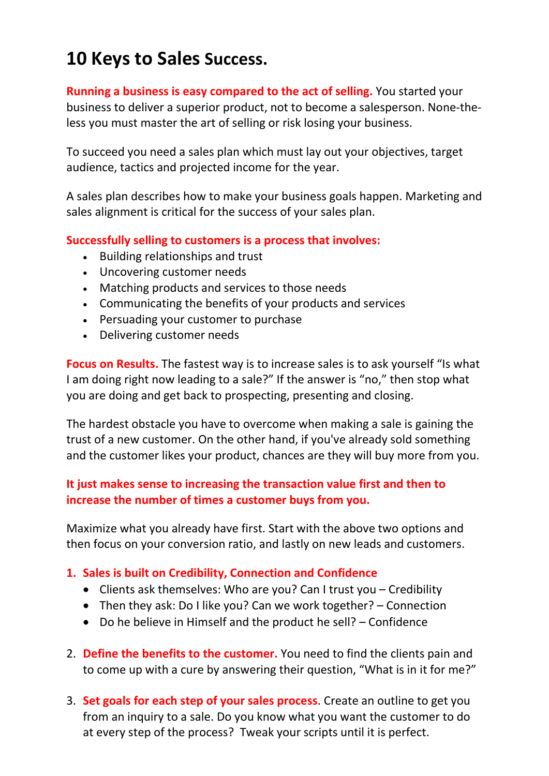# 10 Keys to Sales Success.

Running a business is easy compared to the act of selling. You started your business to deliver a superior product, not to become a salesperson. None-theless you must master the art of selling or risk losing your business.

To succeed you need a sales plan which must lay out your objectives, target audience, tactics and projected income for the year.

A sales plan describes how to make your business goals happen. Marketing and sales alignment is critical for the success of your sales plan.

#### Successfully selling to customers is a process that involves:

- Building relationships and trust
- Uncovering customer needs
- Matching products and services to those needs
- Communicating the benefits of your products and services
- Persuading your customer to purchase
- Delivering customer needs

Focus on Results. The fastest way is to increase sales is to ask yourself "Is what I am doing right now leading to a sale?" If the answer is "no," then stop what you are doing and get back to prospecting, presenting and closing.

The hardest obstacle you have to overcome when making a sale is gaining the trust of a new customer. On the other hand, if you've already sold something and the customer likes your product, chances are they will buy more from you.

### It just makes sense to increasing the transaction value first and then to increase the number of times a customer buys from you.

Maximize what you already have first. Start with the above two options and then focus on your conversion ratio, and lastly on new leads and customers.

### 1. Sales is built on Credibility, Connection and Confidence

- Clients ask themselves: Who are you? Can I trust you Credibility
- Then they ask: Do I like you? Can we work together? Connection
- Do he believe in Himself and the product he sell? Confidence
- 2. Define the benefits to the customer. You need to find the clients pain and to come up with a cure by answering their question, "What is in it for me?"
- 3. Set goals for each step of your sales process. Create an outline to get you from an inquiry to a sale. Do you know what you want the customer to do at every step of the process? Tweak your scripts until it is perfect.